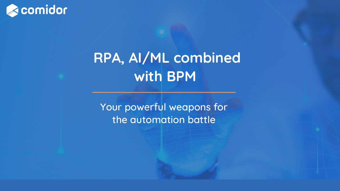Your powerful weapons for the automation battle









## **RPA, AI/ML combined with BPM**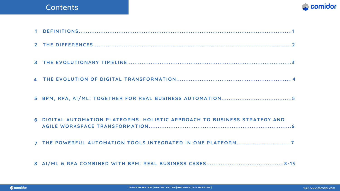#### Contents

| 6 DIGITAL AUTOMATION PLATFORMS: HOLISTIC APPROACH TO BUSINESS STRATEGY AND |
|----------------------------------------------------------------------------|
| 7 THE POWERFUL AUTOMATION TOOLS INTEGRATED IN ONE PLATFORM7                |
|                                                                            |

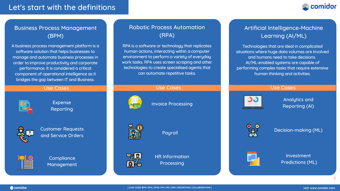#### Let's start with the definitions

A business process management platform is a software solution that helps businesses to manage and automate business processes in order to improve productivity and corporate performance. It is considered a critical component of operational intelligence as it bridges the gap between IT and Business.



#### Business Process Management (BPM)

Customer Requests and Service Orders



**Compliance** Management

RPA is a software or technology that replicates human actions, interacting within a computer environment to perform a variety of everyday work tasks. RPA uses screen scraping and other technologies to create specialised agents that can automate repetitive tasks.



#### Robotic Process Automation (RPA)

Technologies that are ideal in complicated situations where huge data volumes are involved and humans need to take decisions. AI/ML-enabled systems are capable of performing complex tasks that require extensive human thinking and activities.

#### Artificial Intelligence-Machine Learning (AI/ML)

#### Use Cases Use Cases Use Cases



Expense Reporting



Invoice Processing



Payroll



HR Information Processing



Analytics and Reporting (AI)



Decision-making (ML)



Investment Predictions (ML)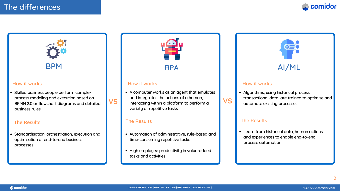#### The differences





Standardisation, orchestration, execution and optimisation of end-to-end business processes

- Automation of administrative, rule-based and time-consuming repetitive tasks
- High employee productivity in value-added tasks and activities





# $\bullet \equiv$

#### How it works how it works how it works how it works how it works how it works how it works how it works in the  $\sim$

• Skilled business people perform complex process modeling and execution based on BPMN 2.0 or flowchart diagrams and detailed business rules

#### The Results The Results The Results The Results The Results

• Algorithms, using historical process transactional data, are trained to optimise and automate existing processes

Learn from historical data, human actions and experiences to enable end-to-end process automation

**VS** interacting within a platform to perform a **VS** A computer works as an agent that emulates and integrates the actions of a human, variety of repetitive tasks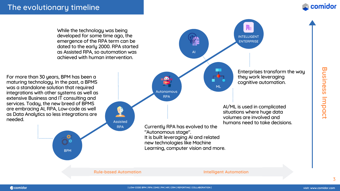For more than 30 years, BPM has been a maturing technology. In the past, a BPMS was a standalone solution that required integrations with other systems as well as extensive Business and IT consulting and services. Today, the new breed of BPMS are embracing AI, RPA, Low-code as well as Data Analytics so less integrations are needed.

AI

Autonomous

Œ

RPA





**B u sin e s s Im p a c**

**t**

While the technology was being developed for some time ago, the emergence of the RPA term can be dated to the early 2000. RPA started as Assisted RPA, so automation was achieved with human intervention.



Enterprises transform the way they work leveraging cognitive automation.

AI/ML is used in complicated situations where huge data volumes are involved and humans need to take decisions.

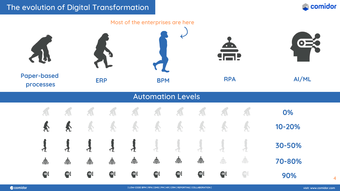#### The evolution of Digital Transformation

#### Most of the enterprises are here **Paper-based ERP BPM RPA AI/ML processes** Automation Levels A  $\mathbf{A}$  $\sqrt{1}$  $\mathfrak{A}$ Á  $\sqrt{1}$ Á.  $\mathbf{A}$  $\mathbf{A}$  $\blacklozenge$  $\blacklozenge$  $\clubsuit$ 系 全  $\mathbf d$  $\tau$  $\tau$  $\tau$  $\tau$  $\frac{1}{\sqrt{2}}$  $\frac{\Delta}{\Box}$  $\frac{1}{\sqrt{2}}$  $\frac{1}{\sqrt{2}}$  $\frac{1}{\sqrt{2}}$  $\triangleq$  $\frac{1}{\sqrt{2}}$  $\frac{1}{\sqrt{2}}$  $\bullet$  $\bullet$  $\bullet$  $\bullet$  $\bullet$ 学  $\bullet$  $\bullet$

**Recomidor** 

TROW-CODE BPM | RPA | DMS | PM | HR | CRM | REPORTING | COLLABORATION | TROWNSHIP | TROWNSHIP | TROWNSHIP | WA













**0% 10-20% 30-50% 70-80%**

**90%** <sup>4</sup>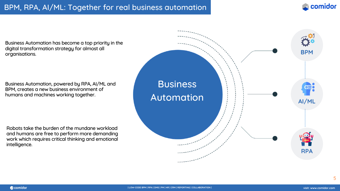Business Automation has become a top priority in the digital transformation strategy for almost all organisations.

### **Business** Automation





Business Automation, powered by RPA, AI/ML and BPM, creates a new business environment of humans and machines working together.

Robots take the burden of the mundane workload and humans are free to perform more demanding work which requires critical thinking and emotional intelligence.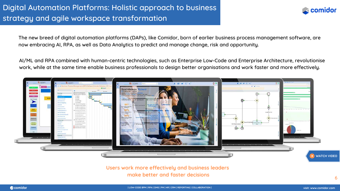### Digital Automation Platforms: Holistic approach to business strategy and agile workspace transformation

**Recomidor** 

AI/ML and RPA combined with human-centric technologies, such as Enterprise Low-Code and Enterprise Architecture, revolutionise work, while at the same time enable business professionals to design better organisations and work faster and more effectively.

The new breed of digital automation platforms (DAPs), like Comidor, born of earlier business process management software, are now embracing AI, RPA, as well as Data Analytics to predict and manage change, risk and opportunity.

> **Users work more effectively and business leaders make better and faster decisions**



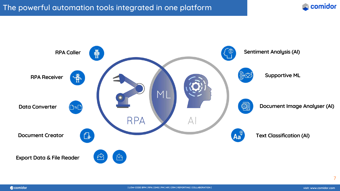

**Recomidor** 





**Document Image Analyser (AI)**



#### **Text Classification (AI)**

#### The powerful automation tools integrated in one platform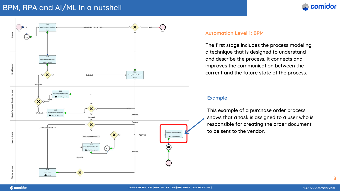#### BPM, RPA and AI/ML in a nutshell





#### **Automation Level 1: BPM**

The first stage includes the process modeling, a technique that is designed to understand and describe the process. It connects and improves the communication between the current and the future state of the process.

#### Example

This example of a purchase order process shows that a task is assigned to a user who is responsible for creating the order document to be sent to the vendor.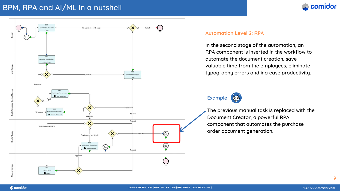#### BPM, RPA and AI/ML in a nutshell

#### **Automation Level 2: RPA**

In the second stage of the automation, an RPA component is inserted in the workflow to automate the document creation, save valuable time from the employees, eliminate typography errors and increase productivity.





The previous manual task is replaced with the Document Creator, a powerful RPA component that automates the purchase order document generation.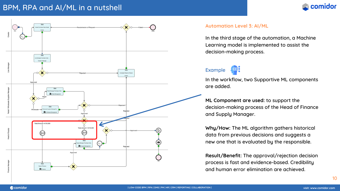#### Example



### BPM, RPA and AI/ML in a nutshell





#### **Automation Level 3: AI/ML**

In the third stage of the automation, a Machine Learning model is implemented to assist the decision-making process.

In the workflow, two Supportive ML components are added.

**ML Component are used:** to support the decision-making process of the Head of Finance and Supply Manager.

**Why/How:** The ML algorithm gathers historical data from previous decisions and suggests a new one that is evaluated by the responsible.

**Result/Benefit:** The approval/rejection decision process is fast and evidence-based. Credibility and human error elimination are achieved.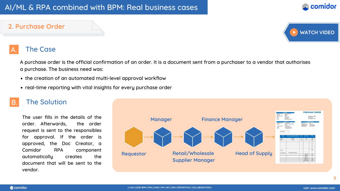A purchase order is the official confirmation of an order. It is a document sent from a purchaser to a vendor that authorises a purchase. The business need was:

- the creation of an automated multi-level approval workflow
- real-time reporting with vital insights for every purchase order

#### **The Solution**

### AI/ML & RPA combined with BPM: Real business cases

#### **2. Purchase Order**

#### **The Case**

The user fills in the details of the order. Afterwards, the order request is sent to the responsibles for approval. If the order is approved, the Doc Creator, a Comidor RPA component automatically creates the document that will be sent to the vendor.





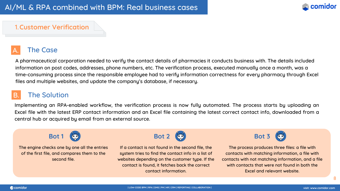A pharmaceutical corporation needed to verify the contact details of pharmacies it conducts business with. The details included information on post codes, addresses, phone numbers, etc. The verification process, executed manually once a month, was a time-consuming process since the responsible employee had to verify information correctness for every pharmacy through Excel files and multiple websites, and update the company's database, if necessary.

#### **The Solution**

### AI/ML & RPA combined with BPM: Real business cases

#### 1.**Customer Verification**

#### **The Case**

Implementing an RPA-enabled workflow, the verification process is now fully automated. The process starts by uploading an Excel file with the latest ERP contact information and an Excel file containing the latest correct contact info, downloaded from a central hub or acquired by email from an external source.



The engine checks one by one all the entries of the first file, and compares them to the second file.

If a contact is not found in the second file, the system tries to find the contact info in a list of websites depending on the customer type. If the contact is found, it fetches back the correct contact information. The process produces three files: a file with contacts with matching information, a file with contacts with not matching information, and a file with contacts that were not found in both the Excel and relevant website.





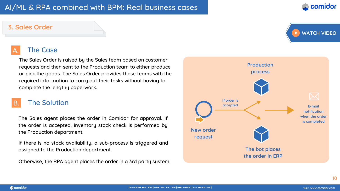

The Sales Order is raised by the Sales team based on customer requests and then sent to the Production team to either produce or pick the goods. The Sales Order provides these teams with the required information to carry out their tasks without having to complete the lengthy paperwork.

#### **The Solution**

### AI/ML & RPA combined with BPM: Real business cases

#### **3. Sales Order**

#### **The Case**

The Sales agent places the order in Comidor for approval. If the order is accepted, inventory stock check is performed by the Production department.

If there is no stock availability, a sub-process is triggered and assigned to the Production department.

Otherwise, the RPA agent places the order in a 3rd party system.



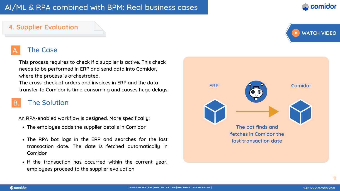

This process requires to check if a supplier is active. This check needs to be performed in ERP and send data into Comidor, where the process is orchestrated.

The cross-check of orders and invoices in ERP and the data transfer to Comidor is time-consuming and causes huge delays.

#### **The Solution**

### AI/ML & RPA combined with BPM: Real business cases

#### **4. Supplier Evaluation**

#### **The Case**

An RPA-enabled workflow is designed. More specifically:



- The employee adds the supplier details in Comidor
- The RPA bot logs in the ERP and searches for the last transaction date. The date is fetched automatically in Comidor
- If the transaction has occurred within the current year, employees proceed to the supplier evaluation



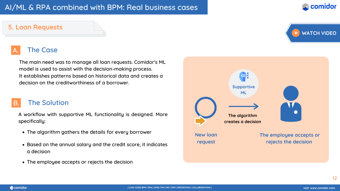

The main need was to manage all loan requests. Comidor's ML model is used to assist with the decision-making process. It establishes patterns based on historical data and creates a decision on the creditworthiness of a borrower.

#### **The Solution**

- The algorithm gathers the details for every borrower
- Based on the annual salary and the credit score, it indicates a decision
- The employee accepts or rejects the decision

### AI/ML & RPA combined with BPM: Real business cases

#### **5. Loan Requests**

#### **The Case**

A workflow with supportive ML functionality is designed. More specifically:



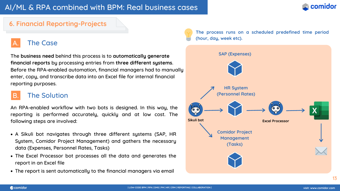An RPA-enabled workflow with two bots is designed. In this way, the reporting is performed accurately, quickly and at low cost. The following steps are involved:

The **business need** behind this process is to **automatically generate financial reports** by processing entries from **three different systems**. Before the RPA-enabled automation, financial managers had to manually enter, copy, and transcribe data into an Excel file for internal financial reporting purposes.

#### **The Solution**

- A Sikuli bot navigates through three different systems (SAP, HR System, Comidor Project Management) and gathers the necessary data (Expenses, Personnel Rates, Tasks)
- The Excel Processor bot processes all the data and generates the report in an Excel file
- Τhe report is sent automatically to the financial managers via email

### AI/ML & RPA combined with BPM: Real business cases

#### **6. Financial Reporting-Projects**



#### **The Case**





**The process runs on a scheduled predefined time period (hour, day, week etc).**